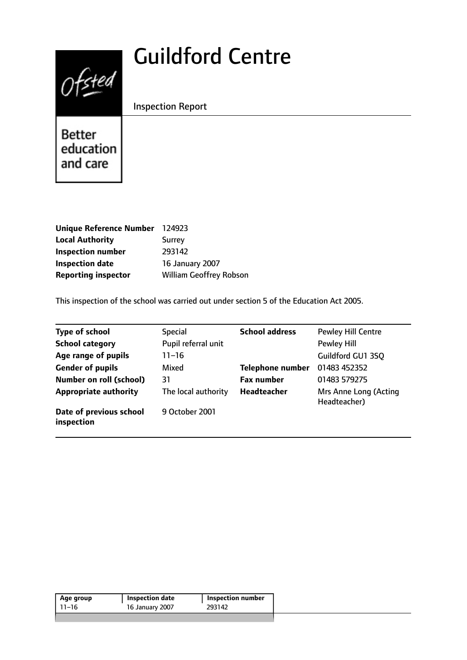# Guildford Centre



Inspection Report

Better education and care

| <b>Unique Reference Number</b> | 124923                         |
|--------------------------------|--------------------------------|
| <b>Local Authority</b>         | Surrey                         |
| <b>Inspection number</b>       | 293142                         |
| <b>Inspection date</b>         | <b>16 January 2007</b>         |
| <b>Reporting inspector</b>     | <b>William Geoffrey Robson</b> |

This inspection of the school was carried out under section 5 of the Education Act 2005.

| <b>Type of school</b>                 | <b>Special</b>      | <b>School address</b>   | <b>Pewley Hill Centre</b>             |
|---------------------------------------|---------------------|-------------------------|---------------------------------------|
| <b>School category</b>                | Pupil referral unit |                         | <b>Pewley Hill</b>                    |
| Age range of pupils                   | 11–16               |                         | Guildford GU1 3SQ                     |
| <b>Gender of pupils</b>               | Mixed               | <b>Telephone number</b> | 01483 452352                          |
| <b>Number on roll (school)</b>        | 31                  | <b>Fax number</b>       | 01483 579275                          |
| <b>Appropriate authority</b>          | The local authority | <b>Headteacher</b>      | Mrs Anne Long (Acting<br>Headteacher) |
| Date of previous school<br>inspection | 9 October 2001      |                         |                                       |

| 293142<br>16 January 2007<br>-11–16 | Age group | Inspection date | Inspection number |  |
|-------------------------------------|-----------|-----------------|-------------------|--|
|                                     |           |                 |                   |  |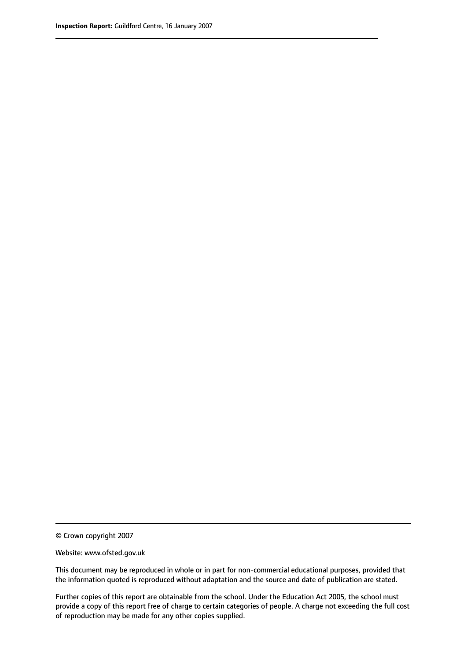© Crown copyright 2007

Website: www.ofsted.gov.uk

This document may be reproduced in whole or in part for non-commercial educational purposes, provided that the information quoted is reproduced without adaptation and the source and date of publication are stated.

Further copies of this report are obtainable from the school. Under the Education Act 2005, the school must provide a copy of this report free of charge to certain categories of people. A charge not exceeding the full cost of reproduction may be made for any other copies supplied.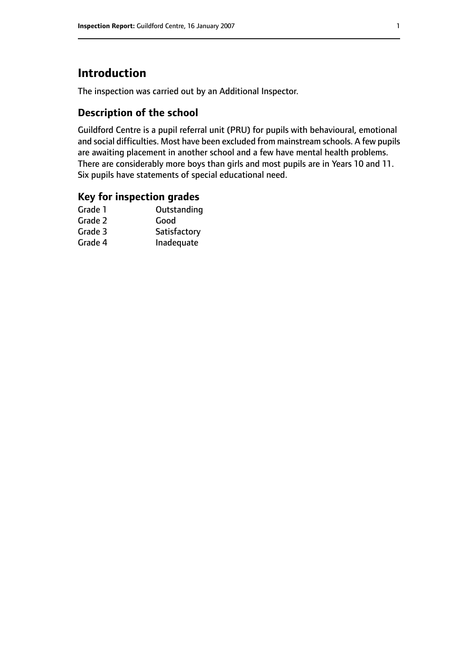# **Introduction**

The inspection was carried out by an Additional Inspector.

## **Description of the school**

Guildford Centre is a pupil referral unit (PRU) for pupils with behavioural, emotional and social difficulties. Most have been excluded from mainstream schools. A few pupils are awaiting placement in another school and a few have mental health problems. There are considerably more boys than girls and most pupils are in Years 10 and 11. Six pupils have statements of special educational need.

## **Key for inspection grades**

| Good         |
|--------------|
|              |
| Satisfactory |
| Inadequate   |
|              |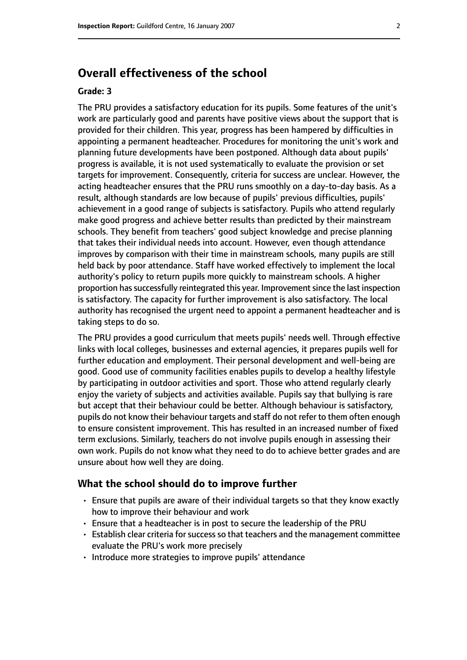## **Overall effectiveness of the school**

#### **Grade: 3**

The PRU provides a satisfactory education for its pupils. Some features of the unit's work are particularly good and parents have positive views about the support that is provided for their children. This year, progress has been hampered by difficulties in appointing a permanent headteacher. Procedures for monitoring the unit's work and planning future developments have been postponed. Although data about pupils' progress is available, it is not used systematically to evaluate the provision or set targets for improvement. Consequently, criteria for success are unclear. However, the acting headteacher ensures that the PRU runs smoothly on a day-to-day basis. As a result, although standards are low because of pupils' previous difficulties, pupils' achievement in a good range of subjects is satisfactory. Pupils who attend regularly make good progress and achieve better results than predicted by their mainstream schools. They benefit from teachers' good subject knowledge and precise planning that takes their individual needs into account. However, even though attendance improves by comparison with their time in mainstream schools, many pupils are still held back by poor attendance. Staff have worked effectively to implement the local authority's policy to return pupils more quickly to mainstream schools. A higher proportion has successfully reintegrated this year. Improvement since the last inspection is satisfactory. The capacity for further improvement is also satisfactory. The local authority has recognised the urgent need to appoint a permanent headteacher and is taking steps to do so.

The PRU provides a good curriculum that meets pupils' needs well. Through effective links with local colleges, businesses and external agencies, it prepares pupils well for further education and employment. Their personal development and well-being are good. Good use of community facilities enables pupils to develop a healthy lifestyle by participating in outdoor activities and sport. Those who attend regularly clearly enjoy the variety of subjects and activities available. Pupils say that bullying is rare but accept that their behaviour could be better. Although behaviour is satisfactory, pupils do not know their behaviour targets and staff do not refer to them often enough to ensure consistent improvement. This has resulted in an increased number of fixed term exclusions. Similarly, teachers do not involve pupils enough in assessing their own work. Pupils do not know what they need to do to achieve better grades and are unsure about how well they are doing.

#### **What the school should do to improve further**

- Ensure that pupils are aware of their individual targets so that they know exactly how to improve their behaviour and work
- Ensure that a headteacher is in post to secure the leadership of the PRU
- Establish clear criteria for success so that teachers and the management committee evaluate the PRU's work more precisely
- Introduce more strategies to improve pupils' attendance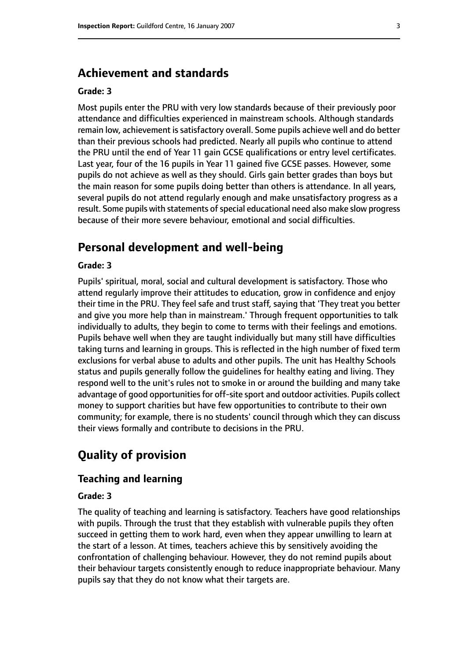## **Achievement and standards**

#### **Grade: 3**

Most pupils enter the PRU with very low standards because of their previously poor attendance and difficulties experienced in mainstream schools. Although standards remain low, achievement is satisfactory overall. Some pupils achieve well and do better than their previous schools had predicted. Nearly all pupils who continue to attend the PRU until the end of Year 11 gain GCSE qualifications or entry level certificates. Last year, four of the 16 pupils in Year 11 gained five GCSE passes. However, some pupils do not achieve as well as they should. Girls gain better grades than boys but the main reason for some pupils doing better than others is attendance. In all years, several pupils do not attend regularly enough and make unsatisfactory progress as a result. Some pupils with statements of special educational need also make slow progress because of their more severe behaviour, emotional and social difficulties.

## **Personal development and well-being**

#### **Grade: 3**

Pupils' spiritual, moral, social and cultural development is satisfactory. Those who attend regularly improve their attitudes to education, grow in confidence and enjoy their time in the PRU. They feel safe and trust staff, saying that 'They treat you better and give you more help than in mainstream.' Through frequent opportunities to talk individually to adults, they begin to come to terms with their feelings and emotions. Pupils behave well when they are taught individually but many still have difficulties taking turns and learning in groups. This is reflected in the high number of fixed term exclusions for verbal abuse to adults and other pupils. The unit has Healthy Schools status and pupils generally follow the guidelines for healthy eating and living. They respond well to the unit's rules not to smoke in or around the building and many take advantage of good opportunities for off-site sport and outdoor activities. Pupils collect money to support charities but have few opportunities to contribute to their own community; for example, there is no students' council through which they can discuss their views formally and contribute to decisions in the PRU.

# **Quality of provision**

#### **Teaching and learning**

#### **Grade: 3**

The quality of teaching and learning is satisfactory. Teachers have good relationships with pupils. Through the trust that they establish with vulnerable pupils they often succeed in getting them to work hard, even when they appear unwilling to learn at the start of a lesson. At times, teachers achieve this by sensitively avoiding the confrontation of challenging behaviour. However, they do not remind pupils about their behaviour targets consistently enough to reduce inappropriate behaviour. Many pupils say that they do not know what their targets are.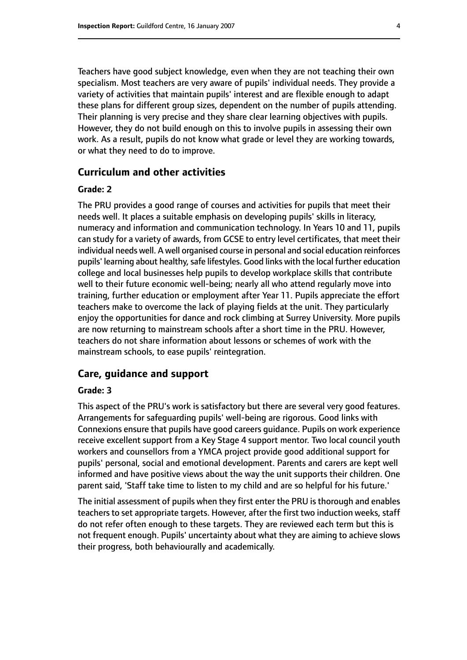Teachers have good subject knowledge, even when they are not teaching their own specialism. Most teachers are very aware of pupils' individual needs. They provide a variety of activities that maintain pupils' interest and are flexible enough to adapt these plans for different group sizes, dependent on the number of pupils attending. Their planning is very precise and they share clear learning objectives with pupils. However, they do not build enough on this to involve pupils in assessing their own work. As a result, pupils do not know what grade or level they are working towards, or what they need to do to improve.

#### **Curriculum and other activities**

#### **Grade: 2**

The PRU provides a good range of courses and activities for pupils that meet their needs well. It places a suitable emphasis on developing pupils' skills in literacy, numeracy and information and communication technology. In Years 10 and 11, pupils can study for a variety of awards, from GCSE to entry level certificates, that meet their individual needs well. A well organised course in personal and social education reinforces pupils' learning about healthy, safe lifestyles. Good links with the local further education college and local businesses help pupils to develop workplace skills that contribute well to their future economic well-being; nearly all who attend regularly move into training, further education or employment after Year 11. Pupils appreciate the effort teachers make to overcome the lack of playing fields at the unit. They particularly enjoy the opportunities for dance and rock climbing at Surrey University. More pupils are now returning to mainstream schools after a short time in the PRU. However, teachers do not share information about lessons or schemes of work with the mainstream schools, to ease pupils' reintegration.

#### **Care, guidance and support**

#### **Grade: 3**

This aspect of the PRU's work is satisfactory but there are several very good features. Arrangements for safeguarding pupils' well-being are rigorous. Good links with Connexions ensure that pupils have good careers guidance. Pupils on work experience receive excellent support from a Key Stage 4 support mentor. Two local council youth workers and counsellors from a YMCA project provide good additional support for pupils' personal, social and emotional development. Parents and carers are kept well informed and have positive views about the way the unit supports their children. One parent said, 'Staff take time to listen to my child and are so helpful for his future.'

The initial assessment of pupils when they first enter the PRU is thorough and enables teachers to set appropriate targets. However, after the first two induction weeks, staff do not refer often enough to these targets. They are reviewed each term but this is not frequent enough. Pupils' uncertainty about what they are aiming to achieve slows their progress, both behaviourally and academically.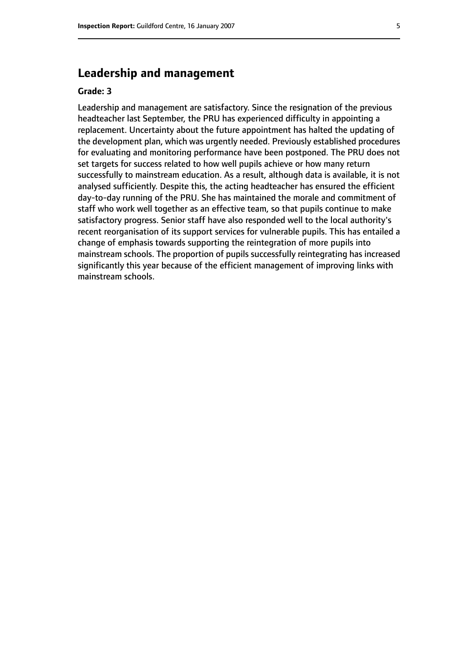## **Leadership and management**

#### **Grade: 3**

Leadership and management are satisfactory. Since the resignation of the previous headteacher last September, the PRU has experienced difficulty in appointing a replacement. Uncertainty about the future appointment has halted the updating of the development plan, which was urgently needed. Previously established procedures for evaluating and monitoring performance have been postponed. The PRU does not set targets for success related to how well pupils achieve or how many return successfully to mainstream education. As a result, although data is available, it is not analysed sufficiently. Despite this, the acting headteacher has ensured the efficient day-to-day running of the PRU. She has maintained the morale and commitment of staff who work well together as an effective team, so that pupils continue to make satisfactory progress. Senior staff have also responded well to the local authority's recent reorganisation of its support services for vulnerable pupils. This has entailed a change of emphasis towards supporting the reintegration of more pupils into mainstream schools. The proportion of pupils successfully reintegrating has increased significantly this year because of the efficient management of improving links with mainstream schools.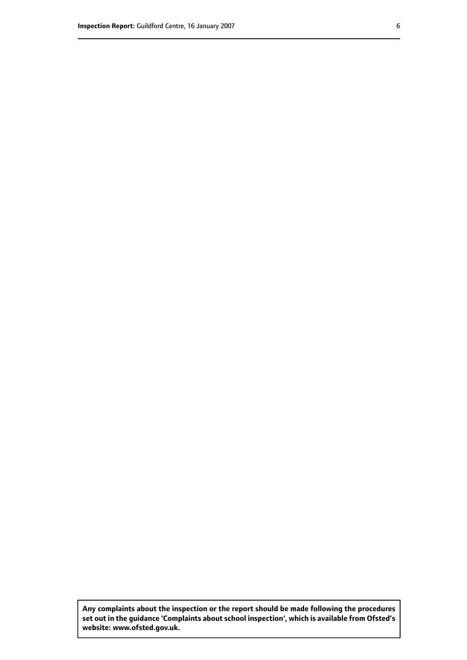**Any complaints about the inspection or the report should be made following the procedures set out inthe guidance 'Complaints about school inspection', whichis available from Ofsted's website: www.ofsted.gov.uk.**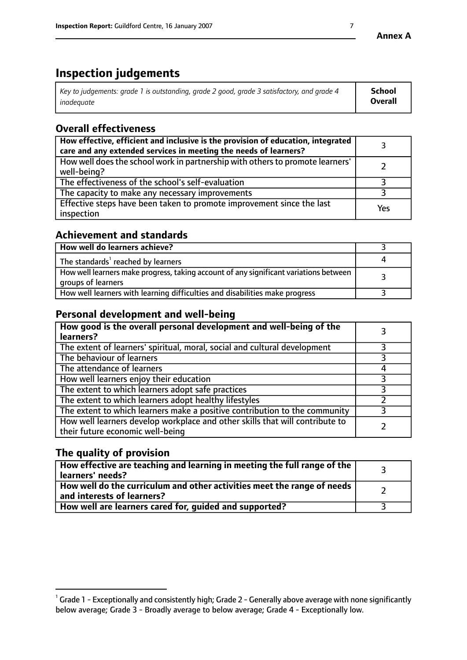# **Inspection judgements**

| Key to judgements: grade 1 is outstanding, grade 2 good, grade 3 satisfactory, and grade 4 | School  |
|--------------------------------------------------------------------------------------------|---------|
| inadeauate                                                                                 | Overall |

# **Overall effectiveness**

| How effective, efficient and inclusive is the provision of education, integrated<br>care and any extended services in meeting the needs of learners? |     |
|------------------------------------------------------------------------------------------------------------------------------------------------------|-----|
| How well does the school work in partnership with others to promote learners'<br>well-being?                                                         |     |
| The effectiveness of the school's self-evaluation                                                                                                    |     |
| The capacity to make any necessary improvements                                                                                                      |     |
| Effective steps have been taken to promote improvement since the last<br>inspection                                                                  | Yes |

## **Achievement and standards**

| How well do learners achieve?                                                                               |  |
|-------------------------------------------------------------------------------------------------------------|--|
| The standards <sup>1</sup> reached by learners                                                              |  |
| How well learners make progress, taking account of any significant variations between<br>groups of learners |  |
| How well learners with learning difficulties and disabilities make progress                                 |  |

## **Personal development and well-being**

| How good is the overall personal development and well-being of the<br>learners?                                  |  |
|------------------------------------------------------------------------------------------------------------------|--|
| The extent of learners' spiritual, moral, social and cultural development                                        |  |
| The behaviour of learners                                                                                        |  |
| The attendance of learners                                                                                       |  |
| How well learners enjoy their education                                                                          |  |
| The extent to which learners adopt safe practices                                                                |  |
| The extent to which learners adopt healthy lifestyles                                                            |  |
| The extent to which learners make a positive contribution to the community                                       |  |
| How well learners develop workplace and other skills that will contribute to<br>their future economic well-being |  |

# **The quality of provision**

| How effective are teaching and learning in meeting the full range of the<br>learners' needs?          |  |
|-------------------------------------------------------------------------------------------------------|--|
| How well do the curriculum and other activities meet the range of needs<br>and interests of learners? |  |
| How well are learners cared for, guided and supported?                                                |  |

 $^1$  Grade 1 - Exceptionally and consistently high; Grade 2 - Generally above average with none significantly below average; Grade 3 - Broadly average to below average; Grade 4 - Exceptionally low.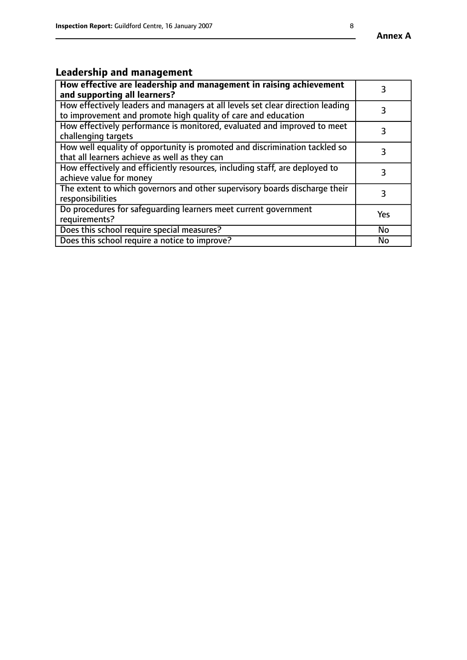### **Annex A**

# **Leadership and management**

| How effective are leadership and management in raising achievement<br>and supporting all learners?                                              |           |
|-------------------------------------------------------------------------------------------------------------------------------------------------|-----------|
| How effectively leaders and managers at all levels set clear direction leading<br>to improvement and promote high quality of care and education |           |
| How effectively performance is monitored, evaluated and improved to meet<br>challenging targets                                                 | 3         |
| How well equality of opportunity is promoted and discrimination tackled so<br>that all learners achieve as well as they can                     |           |
| How effectively and efficiently resources, including staff, are deployed to<br>achieve value for money                                          | З         |
| The extent to which governors and other supervisory boards discharge their<br>responsibilities                                                  | 3         |
| Do procedures for safequarding learners meet current government<br>requirements?                                                                | Yes       |
| Does this school require special measures?                                                                                                      | No        |
| Does this school require a notice to improve?                                                                                                   | <b>No</b> |